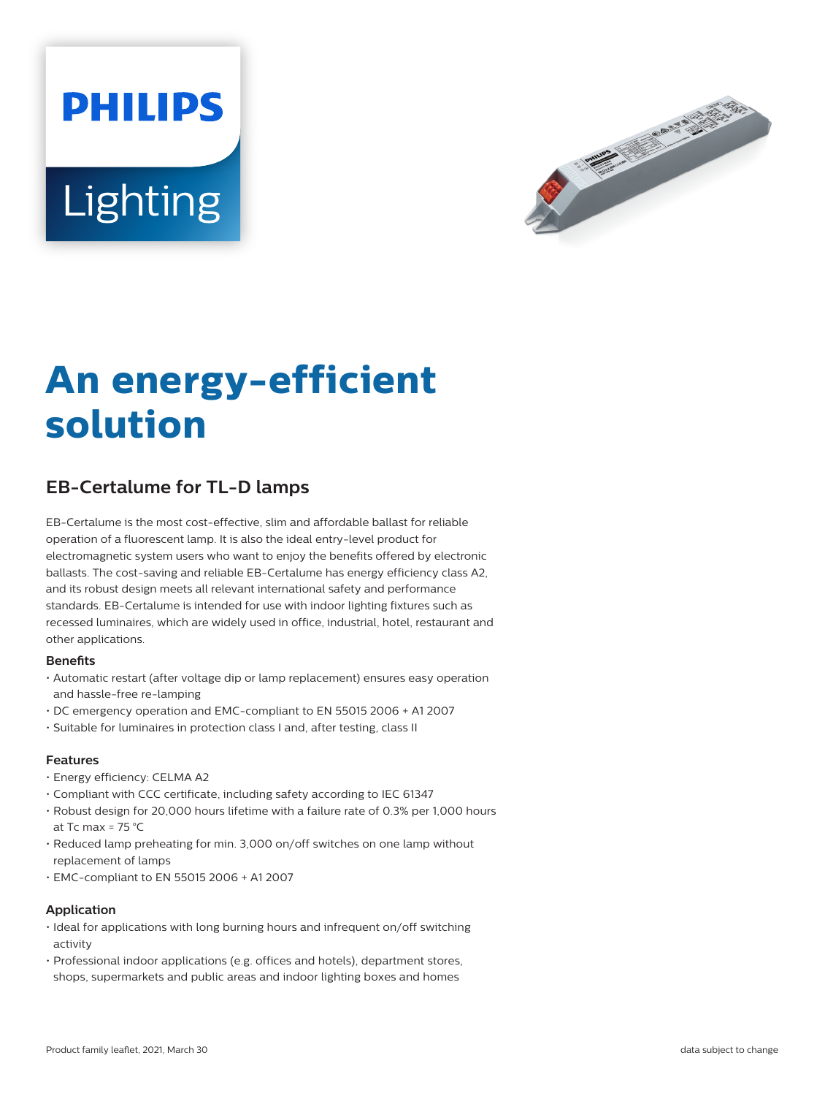# **PHILIPS Lighting**



# **An energy-efficient solution**

## **EB-Certalume for TL-D lamps**

EB-Certalume is the most cost-effective, slim and affordable ballast for reliable operation of a fluorescent lamp. It is also the ideal entry-level product for electromagnetic system users who want to enjoy the benefits offered by electronic ballasts. The cost-saving and reliable EB-Certalume has energy efficiency class A2, and its robust design meets all relevant international safety and performance standards. EB-Certalume is intended for use with indoor lighting fixtures such as recessed luminaires, which are widely used in office, industrial, hotel, restaurant and other applications.

#### **Benefits**

- Automatic restart (after voltage dip or lamp replacement) ensures easy operation and hassle-free re-lamping
- DC emergency operation and EMC-compliant to EN 55015 2006 + A1 2007
- Suitable for luminaires in protection class I and, after testing, class II

#### **Features**

- Energy efficiency: CELMA A2
- Compliant with CCC certificate, including safety according to IEC 61347
- Robust design for 20,000 hours lifetime with a failure rate of 0.3% per 1,000 hours at Tc max =  $75 \text{ °C}$
- Reduced lamp preheating for min. 3,000 on/off switches on one lamp without replacement of lamps
- EMC-compliant to EN 55015 2006 + A1 2007

#### **Application**

- Ideal for applications with long burning hours and infrequent on/off switching activity
- Professional indoor applications (e.g. offices and hotels), department stores, shops, supermarkets and public areas and indoor lighting boxes and homes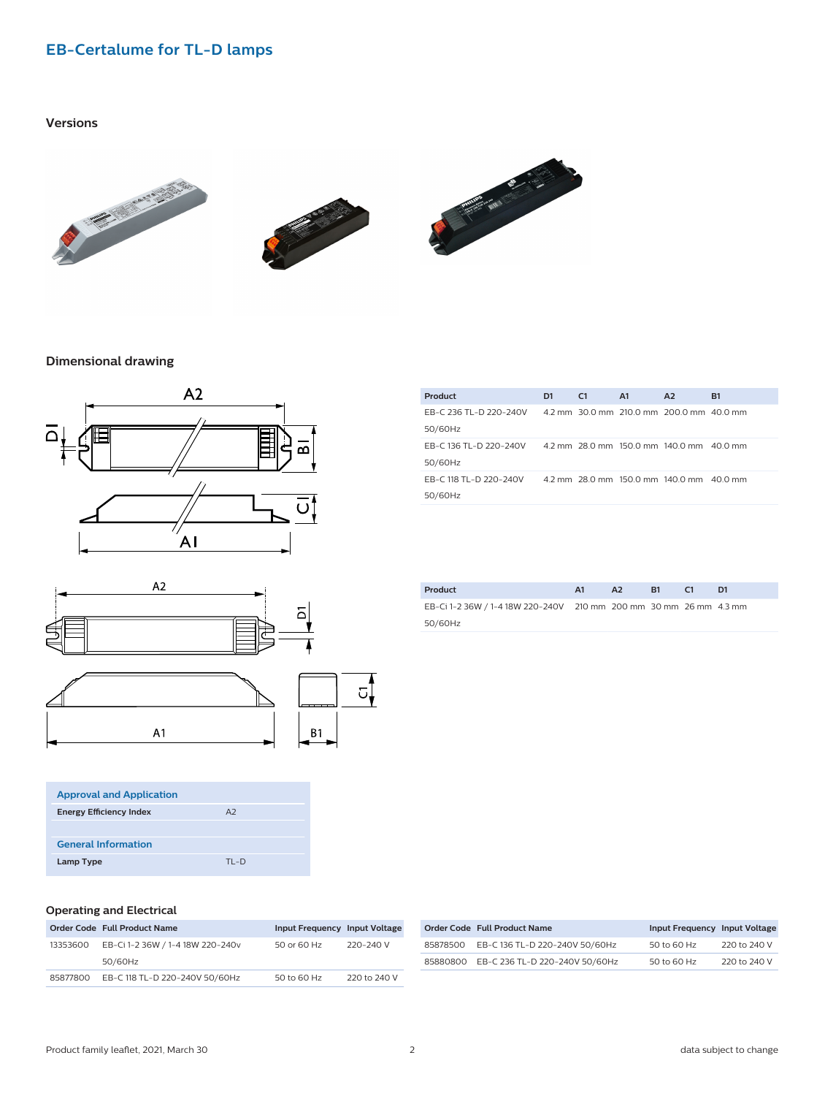### **EB-Certalume for TL-D lamps**

#### **Versions**







#### **Dimensional drawing**





| <b>Approval and Application</b> |                |  |
|---------------------------------|----------------|--|
| <b>Energy Efficiency Index</b>  | A <sub>2</sub> |  |
|                                 |                |  |
| <b>General Information</b>      |                |  |
| Lamp Type                       | $TI - D$       |  |

| Product                | D <sub>1</sub> | C <sub>1</sub> | A <sub>1</sub> | A <sub>2</sub>                           | <b>B1</b> |
|------------------------|----------------|----------------|----------------|------------------------------------------|-----------|
| EB-C 236 TL-D 220-240V |                |                |                | 4.2 mm 30.0 mm 210.0 mm 200.0 mm 40.0 mm |           |
| 50/60Hz                |                |                |                |                                          |           |
| EB-C 136 TL-D 220-240V |                |                |                | 4.2 mm 28.0 mm 150.0 mm 140.0 mm 40.0 mm |           |
| 50/60Hz                |                |                |                |                                          |           |
| EB-C 118 TL-D 220-240V |                |                |                | 4.2 mm 28.0 mm 150.0 mm 140.0 mm 40.0 mm |           |
| 50/60Hz                |                |                |                |                                          |           |
|                        |                |                |                |                                          |           |

| Product                                                           | A1 | A2 | <b>B1</b> | D1 |
|-------------------------------------------------------------------|----|----|-----------|----|
| EB-Ci 1-2 36W / 1-4 18W 220-240V 210 mm 200 mm 30 mm 26 mm 4.3 mm |    |    |           |    |
| 50/60Hz                                                           |    |    |           |    |

#### **Operating and Electrical**

|          | Order Code Full Product Name            | Input Frequency Input Voltage |              |
|----------|-----------------------------------------|-------------------------------|--------------|
| 13353600 | EB-Ci 1-2 36W / 1-4 18W 220-240v        | 50 or 60 Hz                   | 220-240 V    |
|          | 50/60Hz                                 |                               |              |
|          | 85877800 EB-C 118 TL-D 220-240V 50/60Hz | 50 to 60 Hz                   | 220 to 240 V |

|          | <b>Order Code Full Product Name</b>     | Input Frequency Input Voltage |              |
|----------|-----------------------------------------|-------------------------------|--------------|
| 85878500 | EB-C 136 TL-D 220-240V 50/60Hz          | 50 to 60 Hz                   | 220 to 240 V |
|          | 85880800 EB-C 236 TL-D 220-240V 50/60Hz | 50 to 60 Hz                   | 220 to 240 V |